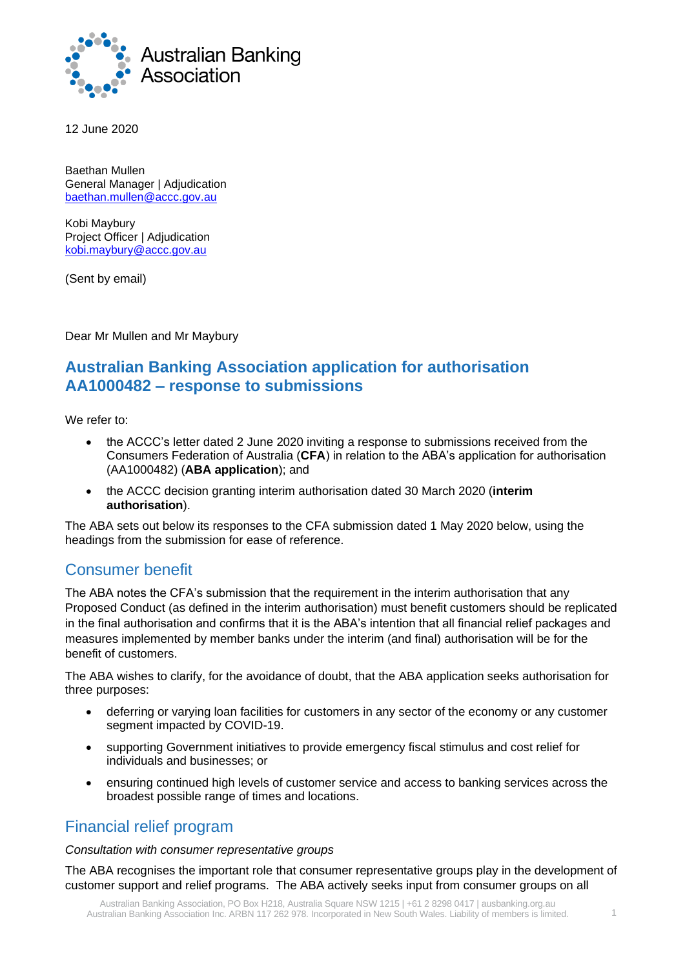

12 June 2020

Baethan Mullen General Manager | Adjudication baethan.mullen@accc.gov.au

Kobi Maybury Project Officer | Adjudication kobi.maybury@accc.gov.au

(Sent by email)

Dear Mr Mullen and Mr Maybury

# **Australian Banking Association application for authorisation AA1000482 – response to submissions**

We refer to:

- the ACCC's letter dated 2 June 2020 inviting a response to submissions received from the Consumers Federation of Australia (**CFA**) in relation to the ABA's application for authorisation (AA1000482) (**ABA application**); and
- the ACCC decision granting interim authorisation dated 30 March 2020 (**interim authorisation**).

The ABA sets out below its responses to the CFA submission dated 1 May 2020 below, using the headings from the submission for ease of reference.

# Consumer benefit

The ABA notes the CFA's submission that the requirement in the interim authorisation that any Proposed Conduct (as defined in the interim authorisation) must benefit customers should be replicated in the final authorisation and confirms that it is the ABA's intention that all financial relief packages and measures implemented by member banks under the interim (and final) authorisation will be for the benefit of customers.

The ABA wishes to clarify, for the avoidance of doubt, that the ABA application seeks authorisation for three purposes:

- deferring or varying loan facilities for customers in any sector of the economy or any customer segment impacted by COVID-19.
- supporting Government initiatives to provide emergency fiscal stimulus and cost relief for individuals and businesses; or
- ensuring continued high levels of customer service and access to banking services across the broadest possible range of times and locations.

## Financial relief program

#### *Consultation with consumer representative groups*

The ABA recognises the important role that consumer representative groups play in the development of customer support and relief programs. The ABA actively seeks input from consumer groups on all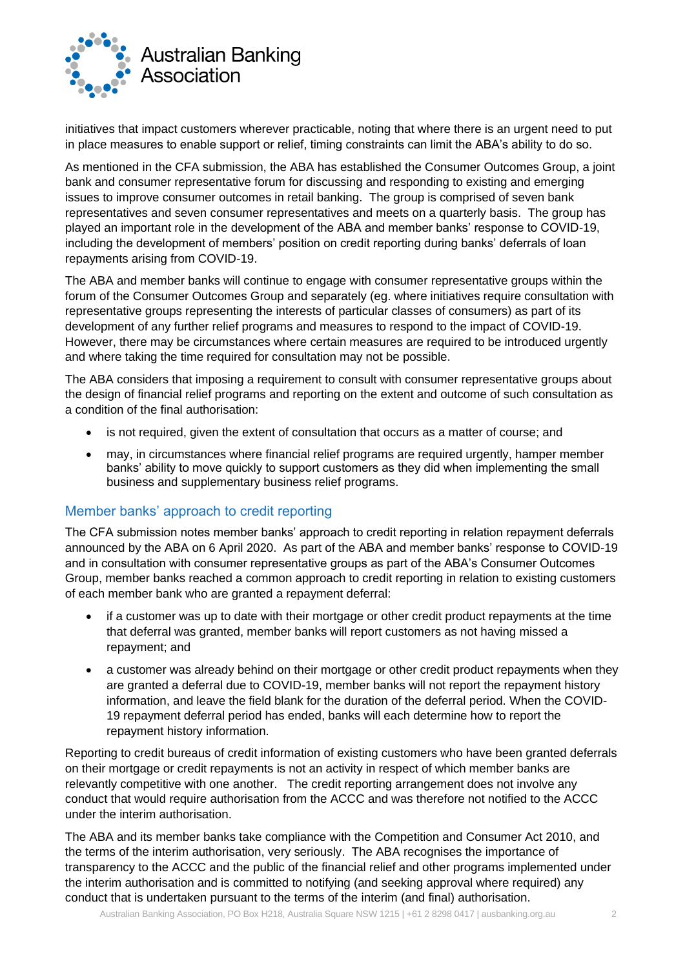

initiatives that impact customers wherever practicable, noting that where there is an urgent need to put in place measures to enable support or relief, timing constraints can limit the ABA's ability to do so.

As mentioned in the CFA submission, the ABA has established the Consumer Outcomes Group, a joint bank and consumer representative forum for discussing and responding to existing and emerging issues to improve consumer outcomes in retail banking. The group is comprised of seven bank representatives and seven consumer representatives and meets on a quarterly basis. The group has played an important role in the development of the ABA and member banks' response to COVID-19, including the development of members' position on credit reporting during banks' deferrals of loan repayments arising from COVID-19.

The ABA and member banks will continue to engage with consumer representative groups within the forum of the Consumer Outcomes Group and separately (eg. where initiatives require consultation with representative groups representing the interests of particular classes of consumers) as part of its development of any further relief programs and measures to respond to the impact of COVID-19. However, there may be circumstances where certain measures are required to be introduced urgently and where taking the time required for consultation may not be possible.

The ABA considers that imposing a requirement to consult with consumer representative groups about the design of financial relief programs and reporting on the extent and outcome of such consultation as a condition of the final authorisation:

- is not required, given the extent of consultation that occurs as a matter of course; and
- may, in circumstances where financial relief programs are required urgently, hamper member banks' ability to move quickly to support customers as they did when implementing the small business and supplementary business relief programs.

#### Member banks' approach to credit reporting

The CFA submission notes member banks' approach to credit reporting in relation repayment deferrals announced by the ABA on 6 April 2020. As part of the ABA and member banks' response to COVID-19 and in consultation with consumer representative groups as part of the ABA's Consumer Outcomes Group, member banks reached a common approach to credit reporting in relation to existing customers of each member bank who are granted a repayment deferral:

- if a customer was up to date with their mortgage or other credit product repayments at the time that deferral was granted, member banks will report customers as not having missed a repayment; and
- a customer was already behind on their mortgage or other credit product repayments when they are granted a deferral due to COVID-19, member banks will not report the repayment history information, and leave the field blank for the duration of the deferral period. When the COVID-19 repayment deferral period has ended, banks will each determine how to report the repayment history information.

Reporting to credit bureaus of credit information of existing customers who have been granted deferrals on their mortgage or credit repayments is not an activity in respect of which member banks are relevantly competitive with one another. The credit reporting arrangement does not involve any conduct that would require authorisation from the ACCC and was therefore not notified to the ACCC under the interim authorisation.

The ABA and its member banks take compliance with the Competition and Consumer Act 2010, and the terms of the interim authorisation, very seriously. The ABA recognises the importance of transparency to the ACCC and the public of the financial relief and other programs implemented under the interim authorisation and is committed to notifying (and seeking approval where required) any conduct that is undertaken pursuant to the terms of the interim (and final) authorisation.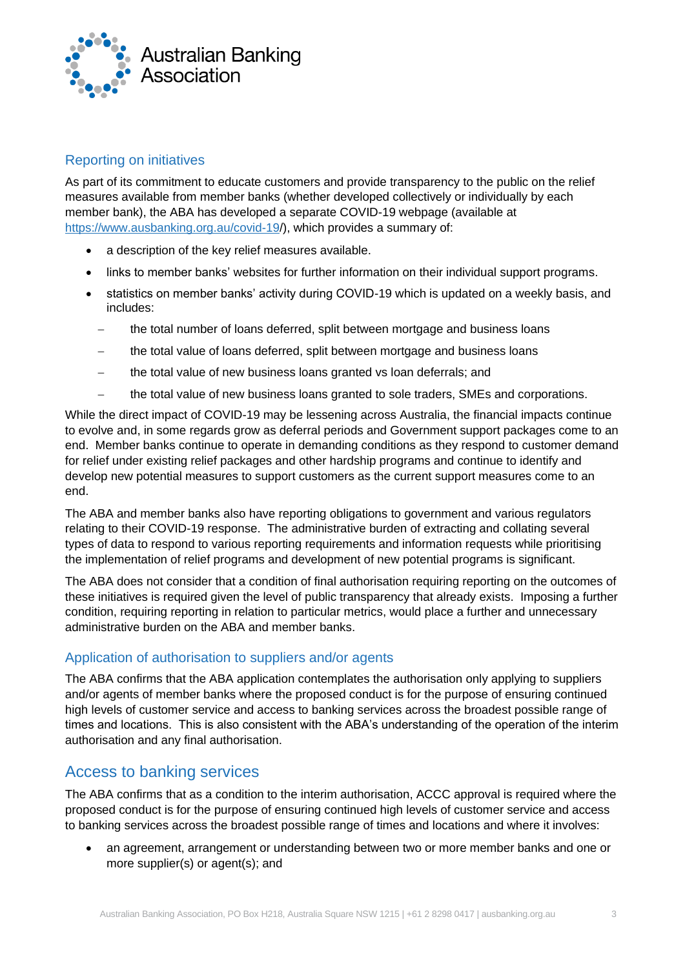

### Reporting on initiatives

As part of its commitment to educate customers and provide transparency to the public on the relief measures available from member banks (whether developed collectively or individually by each member bank), the ABA has developed a separate COVID-19 webpage (available at https://www.ausbanking.org.au/covid-19/), which provides a summary of:

- a description of the key relief measures available.
- links to member banks' websites for further information on their individual support programs.
- statistics on member banks' activity during COVID-19 which is updated on a weekly basis, and includes:
	- the total number of loans deferred, split between mortgage and business loans
	- the total value of loans deferred, split between mortgage and business loans
	- − the total value of new business loans granted vs loan deferrals; and
	- the total value of new business loans granted to sole traders, SMEs and corporations.

While the direct impact of COVID-19 may be lessening across Australia, the financial impacts continue to evolve and, in some regards grow as deferral periods and Government support packages come to an end. Member banks continue to operate in demanding conditions as they respond to customer demand for relief under existing relief packages and other hardship programs and continue to identify and develop new potential measures to support customers as the current support measures come to an end.

The ABA and member banks also have reporting obligations to government and various regulators relating to their COVID-19 response. The administrative burden of extracting and collating several types of data to respond to various reporting requirements and information requests while prioritising the implementation of relief programs and development of new potential programs is significant.

The ABA does not consider that a condition of final authorisation requiring reporting on the outcomes of these initiatives is required given the level of public transparency that already exists. Imposing a further condition, requiring reporting in relation to particular metrics, would place a further and unnecessary administrative burden on the ABA and member banks.

#### Application of authorisation to suppliers and/or agents

The ABA confirms that the ABA application contemplates the authorisation only applying to suppliers and/or agents of member banks where the proposed conduct is for the purpose of ensuring continued high levels of customer service and access to banking services across the broadest possible range of times and locations. This is also consistent with the ABA's understanding of the operation of the interim authorisation and any final authorisation.

# Access to banking services

The ABA confirms that as a condition to the interim authorisation, ACCC approval is required where the proposed conduct is for the purpose of ensuring continued high levels of customer service and access to banking services across the broadest possible range of times and locations and where it involves:

• an agreement, arrangement or understanding between two or more member banks and one or more supplier(s) or agent(s); and